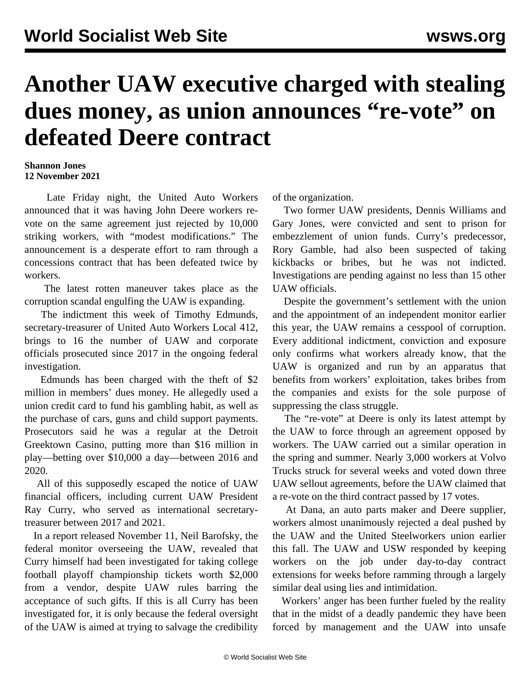## **Another UAW executive charged with stealing dues money, as union announces "re-vote" on defeated Deere contract**

## **Shannon Jones 12 November 2021**

 Late Friday night, the United Auto Workers announced that it was having John Deere workers revote on the same agreement just rejected by 10,000 striking workers, with "modest modifications." The announcement is a desperate effort to ram through a concessions contract that has been defeated twice by workers.

 The latest rotten maneuver takes place as the corruption scandal engulfing the UAW is expanding.

 The indictment this week of Timothy Edmunds, secretary-treasurer of United Auto Workers Local 412, brings to 16 the number of UAW and corporate officials prosecuted since 2017 in the ongoing federal investigation.

 Edmunds has been charged with the theft of \$2 million in members' dues money. He allegedly used a union credit card to fund his gambling habit, as well as the purchase of cars, guns and child support payments. Prosecutors said he was a regular at the Detroit Greektown Casino, putting more than \$16 million in play—betting over \$10,000 a day—between 2016 and 2020.

 All of this supposedly escaped the notice of UAW financial officers, including current UAW President Ray Curry, who served as international secretarytreasurer between 2017 and 2021.

 In a report released November 11, Neil Barofsky, the federal monitor overseeing the UAW, revealed that Curry himself had been investigated for taking college football playoff championship tickets worth \$2,000 from a vendor, despite UAW rules barring the acceptance of such gifts. If this is all Curry has been investigated for, it is only because the federal oversight of the UAW is aimed at trying to salvage the credibility

of the organization.

 Two former UAW presidents, Dennis Williams and Gary Jones, were convicted and sent to prison for embezzlement of union funds. Curry's predecessor, Rory Gamble, had also been suspected of taking kickbacks or bribes, but he was not indicted. Investigations are pending against no less than 15 other UAW officials.

 Despite the government's settlement with the union and the appointment of an independent monitor earlier this year, the UAW remains a cesspool of corruption. Every additional indictment, conviction and exposure only confirms what workers already know, that the UAW is organized and run by an apparatus that benefits from workers' exploitation, takes bribes from the companies and exists for the sole purpose of suppressing the class struggle.

 The "re-vote" at Deere is only its latest attempt by the UAW to force through an agreement opposed by workers. The UAW carried out a similar operation in the spring and summer. Nearly 3,000 workers at Volvo Trucks struck for several weeks and voted down three UAW sellout agreements, before the UAW claimed that a re-vote on the third contract passed by 17 votes.

 At Dana, an auto parts maker and Deere supplier, workers almost unanimously rejected a deal pushed by the UAW and the United Steelworkers union earlier this fall. The UAW and USW responded by keeping workers on the job under day-to-day contract extensions for weeks before ramming through a largely similar deal using lies and intimidation.

 Workers' anger has been further fueled by the reality that in the midst of a deadly pandemic they have been forced by management and the UAW into unsafe